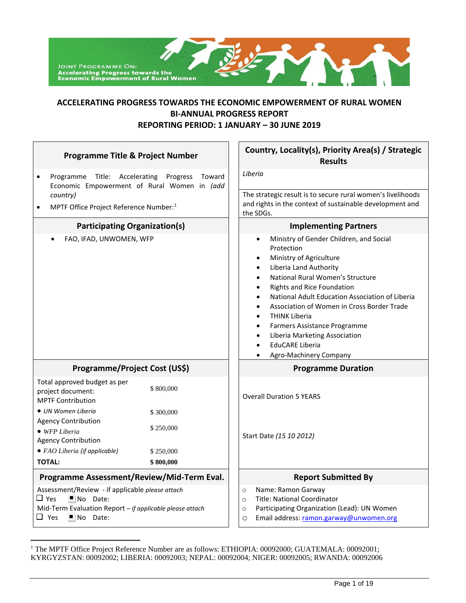

# **ACCELERATING PROGRESS TOWARDS THE ECONOMIC EMPOWERMENT OF RURAL WOMEN BI-ANNUAL PROGRESS REPORT REPORTING PERIOD: 1 JANUARY – 30 JUNE 2019**

| <b>Programme Title &amp; Project Number</b>                                                                                                                                                      |                    | Country, Locality(s), Priority Area(s) / Strategic<br><b>Results</b>                                                                                                                                                                                                                                                                                                                                                                                                                                                                                                             |  |  |
|--------------------------------------------------------------------------------------------------------------------------------------------------------------------------------------------------|--------------------|----------------------------------------------------------------------------------------------------------------------------------------------------------------------------------------------------------------------------------------------------------------------------------------------------------------------------------------------------------------------------------------------------------------------------------------------------------------------------------------------------------------------------------------------------------------------------------|--|--|
| Programme Title: Accelerating<br>$\bullet$<br>Economic Empowerment of Rural Women in (add<br>country)<br>MPTF Office Project Reference Number: <sup>1</sup>                                      | Progress<br>Toward | Liberia<br>The strategic result is to secure rural women's livelihoods<br>and rights in the context of sustainable development and                                                                                                                                                                                                                                                                                                                                                                                                                                               |  |  |
|                                                                                                                                                                                                  |                    | the SDGs.                                                                                                                                                                                                                                                                                                                                                                                                                                                                                                                                                                        |  |  |
| <b>Participating Organization(s)</b>                                                                                                                                                             |                    | <b>Implementing Partners</b>                                                                                                                                                                                                                                                                                                                                                                                                                                                                                                                                                     |  |  |
| FAO, IFAD, UNWOMEN, WFP                                                                                                                                                                          |                    | Ministry of Gender Children, and Social<br>$\bullet$<br>Protection<br>Ministry of Agriculture<br>$\bullet$<br>Liberia Land Authority<br>$\bullet$<br>National Rural Women's Structure<br>$\bullet$<br><b>Rights and Rice Foundation</b><br>$\bullet$<br>National Adult Education Association of Liberia<br>$\bullet$<br>Association of Women in Cross Border Trade<br>$\bullet$<br><b>THINK Liberia</b><br>$\bullet$<br>Farmers Assistance Programme<br>$\bullet$<br>Liberia Marketing Association<br>$\bullet$<br><b>EduCARE Liberia</b><br>$\bullet$<br>Agro-Machinery Company |  |  |
| Programme/Project Cost (US\$)                                                                                                                                                                    |                    | <b>Programme Duration</b>                                                                                                                                                                                                                                                                                                                                                                                                                                                                                                                                                        |  |  |
| Total approved budget as per<br>project document:<br><b>MPTF Contribution</b>                                                                                                                    | \$800,000          | <b>Overall Duration 5 YEARS</b>                                                                                                                                                                                                                                                                                                                                                                                                                                                                                                                                                  |  |  |
| · UN Women Liberia<br><b>Agency Contribution</b>                                                                                                                                                 | \$300,000          |                                                                                                                                                                                                                                                                                                                                                                                                                                                                                                                                                                                  |  |  |
| • WFP Liberia<br><b>Agency Contribution</b>                                                                                                                                                      | \$250,000          | Start Date (15 10 2012)                                                                                                                                                                                                                                                                                                                                                                                                                                                                                                                                                          |  |  |
| • FAO Liberia (if applicable)                                                                                                                                                                    | \$250,000          |                                                                                                                                                                                                                                                                                                                                                                                                                                                                                                                                                                                  |  |  |
| <b>TOTAL:</b>                                                                                                                                                                                    | \$800,000          |                                                                                                                                                                                                                                                                                                                                                                                                                                                                                                                                                                                  |  |  |
| Programme Assessment/Review/Mid-Term Eval.                                                                                                                                                       |                    | <b>Report Submitted By</b>                                                                                                                                                                                                                                                                                                                                                                                                                                                                                                                                                       |  |  |
| Assessment/Review - if applicable please attach<br>$\square$ Yes<br>$\blacksquare$ No Date:<br>Mid-Term Evaluation Report - if applicable please attach<br>$\Box$ Yes<br>$\blacksquare$ No Date: |                    | Name: Ramon Garway<br>$\circ$<br><b>Title: National Coordinator</b><br>$\circ$<br>Participating Organization (Lead): UN Women<br>$\circ$<br>Email address: ramon.garway@unwomen.org<br>$\circ$                                                                                                                                                                                                                                                                                                                                                                                   |  |  |

 $\overline{a}$ 

<sup>&</sup>lt;sup>1</sup> The MPTF Office Project Reference Number are as follows: ETHIOPIA: 00092000; GUATEMALA: 00092001; KYRGYZSTAN: 00092002; LIBERIA: 00092003; NEPAL: 00092004; NIGER: 00092005; RWANDA: 00092006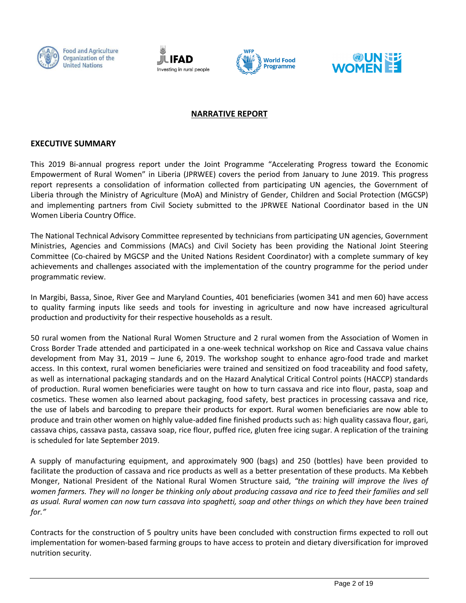







# **NARRATIVE REPORT**

#### **EXECUTIVE SUMMARY**

This 2019 Bi-annual progress report under the Joint Programme "Accelerating Progress toward the Economic Empowerment of Rural Women" in Liberia (JPRWEE) covers the period from January to June 2019. This progress report represents a consolidation of information collected from participating UN agencies, the Government of Liberia through the Ministry of Agriculture (MoA) and Ministry of Gender, Children and Social Protection (MGCSP) and implementing partners from Civil Society submitted to the JPRWEE National Coordinator based in the UN Women Liberia Country Office.

The National Technical Advisory Committee represented by technicians from participating UN agencies, Government Ministries, Agencies and Commissions (MACs) and Civil Society has been providing the National Joint Steering Committee (Co-chaired by MGCSP and the United Nations Resident Coordinator) with a complete summary of key achievements and challenges associated with the implementation of the country programme for the period under programmatic review.

In Margibi, Bassa, Sinoe, River Gee and Maryland Counties, 401 beneficiaries (women 341 and men 60) have access to quality farming inputs like seeds and tools for investing in agriculture and now have increased agricultural production and productivity for their respective households as a result.

50 rural women from the National Rural Women Structure and 2 rural women from the Association of Women in Cross Border Trade attended and participated in a one-week technical workshop on Rice and Cassava value chains development from May 31, 2019 – June 6, 2019. The workshop sought to enhance agro-food trade and market access. In this context, rural women beneficiaries were trained and sensitized on food traceability and food safety, as well as international packaging standards and on the Hazard Analytical Critical Control points (HACCP) standards of production. Rural women beneficiaries were taught on how to turn cassava and rice into flour, pasta, soap and cosmetics. These women also learned about packaging, food safety, best practices in processing cassava and rice, the use of labels and barcoding to prepare their products for export. Rural women beneficiaries are now able to produce and train other women on highly value-added fine finished products such as: high quality cassava flour, gari, cassava chips, cassava pasta, cassava soap, rice flour, puffed rice, gluten free icing sugar. A replication of the training is scheduled for late September 2019.

A supply of manufacturing equipment, and approximately 900 (bags) and 250 (bottles) have been provided to facilitate the production of cassava and rice products as well as a better presentation of these products. Ma Kebbeh Monger, National President of the National Rural Women Structure said, *"the training will improve the lives of women farmers. They will no longer be thinking only about producing cassava and rice to feed their families and sell as usual. Rural women can now turn cassava into spaghetti, soap and other things on which they have been trained for."*

Contracts for the construction of 5 poultry units have been concluded with construction firms expected to roll out implementation for women-based farming groups to have access to protein and dietary diversification for improved nutrition security.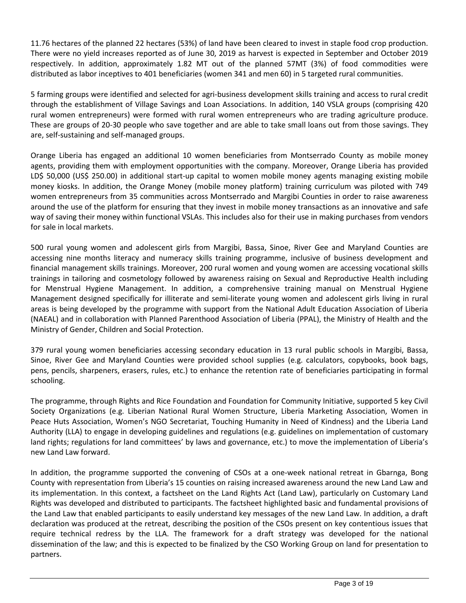11.76 hectares of the planned 22 hectares (53%) of land have been cleared to invest in staple food crop production. There were no yield increases reported as of June 30, 2019 as harvest is expected in September and October 2019 respectively. In addition, approximately 1.82 MT out of the planned 57MT (3%) of food commodities were distributed as labor inceptives to 401 beneficiaries (women 341 and men 60) in 5 targeted rural communities.

5 farming groups were identified and selected for agri-business development skills training and access to rural credit through the establishment of Village Savings and Loan Associations. In addition, 140 VSLA groups (comprising 420 rural women entrepreneurs) were formed with rural women entrepreneurs who are trading agriculture produce. These are groups of 20-30 people who save together and are able to take small loans out from those savings. They are, self-sustaining and self-managed groups.

Orange Liberia has engaged an additional 10 women beneficiaries from Montserrado County as mobile money agents, providing them with employment opportunities with the company. Moreover, Orange Liberia has provided LD\$ 50,000 (US\$ 250.00) in additional start-up capital to women mobile money agents managing existing mobile money kiosks. In addition, the Orange Money (mobile money platform) training curriculum was piloted with 749 women entrepreneurs from 35 communities across Montserrado and Margibi Counties in order to raise awareness around the use of the platform for ensuring that they invest in mobile money transactions as an innovative and safe way of saving their money within functional VSLAs. This includes also for their use in making purchases from vendors for sale in local markets.

500 rural young women and adolescent girls from Margibi, Bassa, Sinoe, River Gee and Maryland Counties are accessing nine months literacy and numeracy skills training programme, inclusive of business development and financial management skills trainings. Moreover, 200 rural women and young women are accessing vocational skills trainings in tailoring and cosmetology followed by awareness raising on Sexual and Reproductive Health including for Menstrual Hygiene Management. In addition, a comprehensive training manual on Menstrual Hygiene Management designed specifically for illiterate and semi-literate young women and adolescent girls living in rural areas is being developed by the programme with support from the National Adult Education Association of Liberia (NAEAL) and in collaboration with Planned Parenthood Association of Liberia (PPAL), the Ministry of Health and the Ministry of Gender, Children and Social Protection.

379 rural young women beneficiaries accessing secondary education in 13 rural public schools in Margibi, Bassa, Sinoe, River Gee and Maryland Counties were provided school supplies (e.g. calculators, copybooks, book bags, pens, pencils, sharpeners, erasers, rules, etc.) to enhance the retention rate of beneficiaries participating in formal schooling.

The programme, through Rights and Rice Foundation and Foundation for Community Initiative, supported 5 key Civil Society Organizations (e.g. Liberian National Rural Women Structure, Liberia Marketing Association, Women in Peace Huts Association, Women's NGO Secretariat, Touching Humanity in Need of Kindness) and the Liberia Land Authority (LLA) to engage in developing guidelines and regulations (e.g. guidelines on implementation of customary land rights; regulations for land committees' by laws and governance, etc.) to move the implementation of Liberia's new Land Law forward.

In addition, the programme supported the convening of CSOs at a one-week national retreat in Gbarnga, Bong County with representation from Liberia's 15 counties on raising increased awareness around the new Land Law and its implementation. In this context, a factsheet on the Land Rights Act (Land Law), particularly on Customary Land Rights was developed and distributed to participants. The factsheet highlighted basic and fundamental provisions of the Land Law that enabled participants to easily understand key messages of the new Land Law. In addition, a draft declaration was produced at the retreat, describing the position of the CSOs present on key contentious issues that require technical redress by the LLA. The framework for a draft strategy was developed for the national dissemination of the law; and this is expected to be finalized by the CSO Working Group on land for presentation to partners.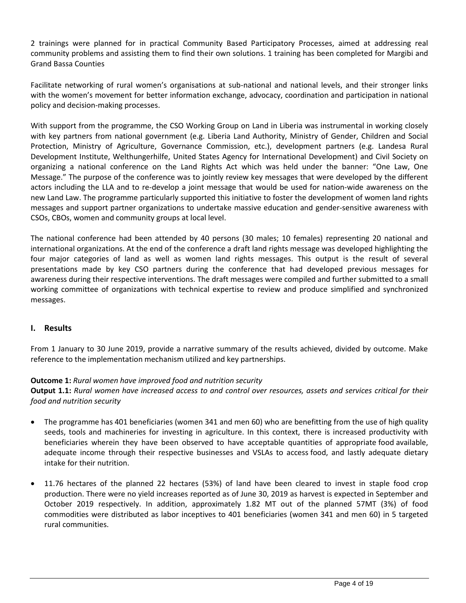2 trainings were planned for in practical Community Based Participatory Processes, aimed at addressing real community problems and assisting them to find their own solutions. 1 training has been completed for Margibi and Grand Bassa Counties

Facilitate networking of rural women's organisations at sub-national and national levels, and their stronger links with the women's movement for better information exchange, advocacy, coordination and participation in national policy and decision-making processes.

With support from the programme, the CSO Working Group on Land in Liberia was instrumental in working closely with key partners from national government (e.g. Liberia Land Authority, Ministry of Gender, Children and Social Protection, Ministry of Agriculture, Governance Commission, etc.), development partners (e.g. Landesa Rural Development Institute, Welthungerhilfe, United States Agency for International Development) and Civil Society on organizing a national conference on the Land Rights Act which was held under the banner: "One Law, One Message." The purpose of the conference was to jointly review key messages that were developed by the different actors including the LLA and to re-develop a joint message that would be used for nation-wide awareness on the new Land Law. The programme particularly supported this initiative to foster the development of women land rights messages and support partner organizations to undertake massive education and gender-sensitive awareness with CSOs, CBOs, women and community groups at local level.

The national conference had been attended by 40 persons (30 males; 10 females) representing 20 national and international organizations. At the end of the conference a draft land rights message was developed highlighting the four major categories of land as well as women land rights messages. This output is the result of several presentations made by key CSO partners during the conference that had developed previous messages for awareness during their respective interventions. The draft messages were compiled and further submitted to a small working committee of organizations with technical expertise to review and produce simplified and synchronized messages.

## **I. Results**

From 1 January to 30 June 2019, provide a narrative summary of the results achieved, divided by outcome. Make reference to the implementation mechanism utilized and key partnerships.

### **Outcome 1:** *Rural women have improved food and nutrition security*

**Output 1.1:** *Rural women have increased access to and control over resources, assets and services critical for their food and nutrition security*

- The programme has 401 beneficiaries (women 341 and men 60) who are benefitting from the use of high quality seeds, tools and machineries for investing in agriculture. In this context, there is increased productivity with beneficiaries wherein they have been observed to have acceptable quantities of appropriate food available, adequate income through their respective businesses and VSLAs to access food, and lastly adequate dietary intake for their nutrition.
- 11.76 hectares of the planned 22 hectares (53%) of land have been cleared to invest in staple food crop production. There were no yield increases reported as of June 30, 2019 as harvest is expected in September and October 2019 respectively. In addition, approximately 1.82 MT out of the planned 57MT (3%) of food commodities were distributed as labor inceptives to 401 beneficiaries (women 341 and men 60) in 5 targeted rural communities.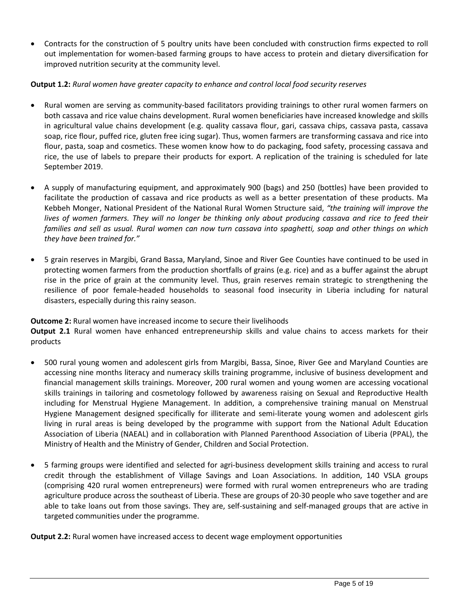• Contracts for the construction of 5 poultry units have been concluded with construction firms expected to roll out implementation for women-based farming groups to have access to protein and dietary diversification for improved nutrition security at the community level.

## **Output 1.2:** *Rural women have greater capacity to enhance and control local food security reserves*

- Rural women are serving as community-based facilitators providing trainings to other rural women farmers on both cassava and rice value chains development. Rural women beneficiaries have increased knowledge and skills in agricultural value chains development (e.g. quality cassava flour, gari, cassava chips, cassava pasta, cassava soap, rice flour, puffed rice, gluten free icing sugar). Thus, women farmers are transforming cassava and rice into flour, pasta, soap and cosmetics. These women know how to do packaging, food safety, processing cassava and rice, the use of labels to prepare their products for export. A replication of the training is scheduled for late September 2019.
- A supply of manufacturing equipment, and approximately 900 (bags) and 250 (bottles) have been provided to facilitate the production of cassava and rice products as well as a better presentation of these products. Ma Kebbeh Monger, National President of the National Rural Women Structure said, *"the training will improve the lives of women farmers. They will no longer be thinking only about producing cassava and rice to feed their families and sell as usual. Rural women can now turn cassava into spaghetti, soap and other things on which they have been trained for."*
- 5 grain reserves in Margibi, Grand Bassa, Maryland, Sinoe and River Gee Counties have continued to be used in protecting women farmers from the production shortfalls of grains (e.g. rice) and as a buffer against the abrupt rise in the price of grain at the community level. Thus, grain reserves remain strategic to strengthening the resilience of poor female-headed households to seasonal food insecurity in Liberia including for natural disasters, especially during this rainy season.

### **Outcome 2:** Rural women have increased income to secure their livelihoods

**Output 2.1** Rural women have enhanced entrepreneurship skills and value chains to access markets for their products

- 500 rural young women and adolescent girls from Margibi, Bassa, Sinoe, River Gee and Maryland Counties are accessing nine months literacy and numeracy skills training programme, inclusive of business development and financial management skills trainings. Moreover, 200 rural women and young women are accessing vocational skills trainings in tailoring and cosmetology followed by awareness raising on Sexual and Reproductive Health including for Menstrual Hygiene Management. In addition, a comprehensive training manual on Menstrual Hygiene Management designed specifically for illiterate and semi-literate young women and adolescent girls living in rural areas is being developed by the programme with support from the National Adult Education Association of Liberia (NAEAL) and in collaboration with Planned Parenthood Association of Liberia (PPAL), the Ministry of Health and the Ministry of Gender, Children and Social Protection.
- 5 farming groups were identified and selected for agri-business development skills training and access to rural credit through the establishment of Village Savings and Loan Associations. In addition, 140 VSLA groups (comprising 420 rural women entrepreneurs) were formed with rural women entrepreneurs who are trading agriculture produce across the southeast of Liberia. These are groups of 20-30 people who save together and are able to take loans out from those savings. They are, self-sustaining and self-managed groups that are active in targeted communities under the programme.

**Output 2.2:** Rural women have increased access to decent wage employment opportunities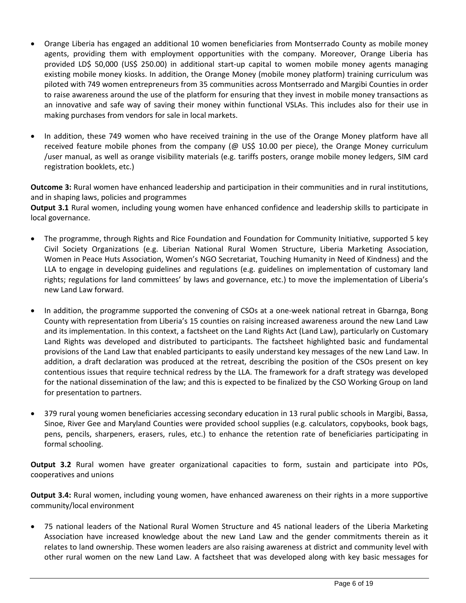- Orange Liberia has engaged an additional 10 women beneficiaries from Montserrado County as mobile money agents, providing them with employment opportunities with the company. Moreover, Orange Liberia has provided LD\$ 50,000 (US\$ 250.00) in additional start-up capital to women mobile money agents managing existing mobile money kiosks. In addition, the Orange Money (mobile money platform) training curriculum was piloted with 749 women entrepreneurs from 35 communities across Montserrado and Margibi Counties in order to raise awareness around the use of the platform for ensuring that they invest in mobile money transactions as an innovative and safe way of saving their money within functional VSLAs. This includes also for their use in making purchases from vendors for sale in local markets.
- In addition, these 749 women who have received training in the use of the Orange Money platform have all received feature mobile phones from the company (@ US\$ 10.00 per piece), the Orange Money curriculum /user manual, as well as orange visibility materials (e.g. tariffs posters, orange mobile money ledgers, SIM card registration booklets, etc.)

**Outcome 3:** Rural women have enhanced leadership and participation in their communities and in rural institutions, and in shaping laws, policies and programmes

**Output 3.1** Rural women, including young women have enhanced confidence and leadership skills to participate in local governance.

- The programme, through Rights and Rice Foundation and Foundation for Community Initiative, supported 5 key Civil Society Organizations (e.g. Liberian National Rural Women Structure, Liberia Marketing Association, Women in Peace Huts Association, Women's NGO Secretariat, Touching Humanity in Need of Kindness) and the LLA to engage in developing guidelines and regulations (e.g. guidelines on implementation of customary land rights; regulations for land committees' by laws and governance, etc.) to move the implementation of Liberia's new Land Law forward.
- In addition, the programme supported the convening of CSOs at a one-week national retreat in Gbarnga, Bong County with representation from Liberia's 15 counties on raising increased awareness around the new Land Law and its implementation. In this context, a factsheet on the Land Rights Act (Land Law), particularly on Customary Land Rights was developed and distributed to participants. The factsheet highlighted basic and fundamental provisions of the Land Law that enabled participants to easily understand key messages of the new Land Law. In addition, a draft declaration was produced at the retreat, describing the position of the CSOs present on key contentious issues that require technical redress by the LLA. The framework for a draft strategy was developed for the national dissemination of the law; and this is expected to be finalized by the CSO Working Group on land for presentation to partners.
- 379 rural young women beneficiaries accessing secondary education in 13 rural public schools in Margibi, Bassa, Sinoe, River Gee and Maryland Counties were provided school supplies (e.g. calculators, copybooks, book bags, pens, pencils, sharpeners, erasers, rules, etc.) to enhance the retention rate of beneficiaries participating in formal schooling.

**Output 3.2** Rural women have greater organizational capacities to form, sustain and participate into POs, cooperatives and unions

**Output 3.4:** Rural women, including young women, have enhanced awareness on their rights in a more supportive community/local environment

• 75 national leaders of the National Rural Women Structure and 45 national leaders of the Liberia Marketing Association have increased knowledge about the new Land Law and the gender commitments therein as it relates to land ownership. These women leaders are also raising awareness at district and community level with other rural women on the new Land Law. A factsheet that was developed along with key basic messages for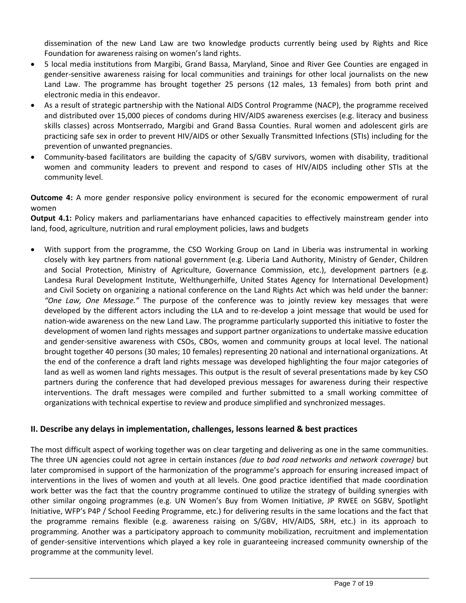dissemination of the new Land Law are two knowledge products currently being used by Rights and Rice Foundation for awareness raising on women's land rights.

- 5 local media institutions from Margibi, Grand Bassa, Maryland, Sinoe and River Gee Counties are engaged in gender-sensitive awareness raising for local communities and trainings for other local journalists on the new Land Law. The programme has brought together 25 persons (12 males, 13 females) from both print and electronic media in this endeavor.
- As a result of strategic partnership with the National AIDS Control Programme (NACP), the programme received and distributed over 15,000 pieces of condoms during HIV/AIDS awareness exercises (e.g. literacy and business skills classes) across Montserrado, Margibi and Grand Bassa Counties. Rural women and adolescent girls are practicing safe sex in order to prevent HIV/AIDS or other Sexually Transmitted Infections (STIs) including for the prevention of unwanted pregnancies.
- Community-based facilitators are building the capacity of S/GBV survivors, women with disability, traditional women and community leaders to prevent and respond to cases of HIV/AIDS including other STIs at the community level.

**Outcome 4:** A more gender responsive policy environment is secured for the economic empowerment of rural women

**Output 4.1:** Policy makers and parliamentarians have enhanced capacities to effectively mainstream gender into land, food, agriculture, nutrition and rural employment policies, laws and budgets

• With support from the programme, the CSO Working Group on Land in Liberia was instrumental in working closely with key partners from national government (e.g. Liberia Land Authority, Ministry of Gender, Children and Social Protection, Ministry of Agriculture, Governance Commission, etc.), development partners (e.g. Landesa Rural Development Institute, Welthungerhilfe, United States Agency for International Development) and Civil Society on organizing a national conference on the Land Rights Act which was held under the banner: *"One Law, One Message."* The purpose of the conference was to jointly review key messages that were developed by the different actors including the LLA and to re-develop a joint message that would be used for nation-wide awareness on the new Land Law. The programme particularly supported this initiative to foster the development of women land rights messages and support partner organizations to undertake massive education and gender-sensitive awareness with CSOs, CBOs, women and community groups at local level. The national brought together 40 persons (30 males; 10 females) representing 20 national and international organizations. At the end of the conference a draft land rights message was developed highlighting the four major categories of land as well as women land rights messages. This output is the result of several presentations made by key CSO partners during the conference that had developed previous messages for awareness during their respective interventions. The draft messages were compiled and further submitted to a small working committee of organizations with technical expertise to review and produce simplified and synchronized messages.

## **II. Describe any delays in implementation, challenges, lessons learned & best practices**

The most difficult aspect of working together was on clear targeting and delivering as one in the same communities. The three UN agencies could not agree in certain instances *(due to bad road networks and network coverage)* but later compromised in support of the harmonization of the programme's approach for ensuring increased impact of interventions in the lives of women and youth at all levels. One good practice identified that made coordination work better was the fact that the country programme continued to utilize the strategy of building synergies with other similar ongoing programmes (e.g. UN Women's Buy from Women Initiative, JP RWEE on SGBV, Spotlight Initiative, WFP's P4P / School Feeding Programme, etc.) for delivering results in the same locations and the fact that the programme remains flexible (e.g. awareness raising on S/GBV, HIV/AIDS, SRH, etc.) in its approach to programming. Another was a participatory approach to community mobilization, recruitment and implementation of gender-sensitive interventions which played a key role in guaranteeing increased community ownership of the programme at the community level.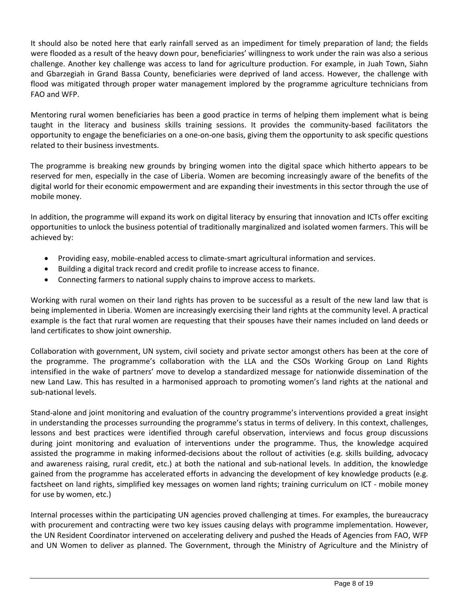It should also be noted here that early rainfall served as an impediment for timely preparation of land; the fields were flooded as a result of the heavy down pour, beneficiaries' willingness to work under the rain was also a serious challenge. Another key challenge was access to land for agriculture production. For example, in Juah Town, Siahn and Gbarzegiah in Grand Bassa County, beneficiaries were deprived of land access. However, the challenge with flood was mitigated through proper water management implored by the programme agriculture technicians from FAO and WFP.

Mentoring rural women beneficiaries has been a good practice in terms of helping them implement what is being taught in the literacy and business skills training sessions. It provides the community-based facilitators the opportunity to engage the beneficiaries on a one-on-one basis, giving them the opportunity to ask specific questions related to their business investments.

The programme is breaking new grounds by bringing women into the digital space which hitherto appears to be reserved for men, especially in the case of Liberia. Women are becoming increasingly aware of the benefits of the digital world for their economic empowerment and are expanding their investments in this sector through the use of mobile money.

In addition, the programme will expand its work on digital literacy by ensuring that innovation and ICTs offer exciting opportunities to unlock the business potential of traditionally marginalized and isolated women farmers. This will be achieved by:

- Providing easy, mobile-enabled access to climate-smart agricultural information and services.
- Building a digital track record and credit profile to increase access to finance.
- Connecting farmers to national supply chains to improve access to markets.

Working with rural women on their land rights has proven to be successful as a result of the new land law that is being implemented in Liberia. Women are increasingly exercising their land rights at the community level. A practical example is the fact that rural women are requesting that their spouses have their names included on land deeds or land certificates to show joint ownership.

Collaboration with government, UN system, civil society and private sector amongst others has been at the core of the programme. The programme's collaboration with the LLA and the CSOs Working Group on Land Rights intensified in the wake of partners' move to develop a standardized message for nationwide dissemination of the new Land Law. This has resulted in a harmonised approach to promoting women's land rights at the national and sub-national levels.

Stand-alone and joint monitoring and evaluation of the country programme's interventions provided a great insight in understanding the processes surrounding the programme's status in terms of delivery. In this context, challenges, lessons and best practices were identified through careful observation, interviews and focus group discussions during joint monitoring and evaluation of interventions under the programme. Thus, the knowledge acquired assisted the programme in making informed-decisions about the rollout of activities (e.g. skills building, advocacy and awareness raising, rural credit, etc.) at both the national and sub-national levels. In addition, the knowledge gained from the programme has accelerated efforts in advancing the development of key knowledge products (e.g. factsheet on land rights, simplified key messages on women land rights; training curriculum on ICT - mobile money for use by women, etc.)

Internal processes within the participating UN agencies proved challenging at times. For examples, the bureaucracy with procurement and contracting were two key issues causing delays with programme implementation. However, the UN Resident Coordinator intervened on accelerating delivery and pushed the Heads of Agencies from FAO, WFP and UN Women to deliver as planned. The Government, through the Ministry of Agriculture and the Ministry of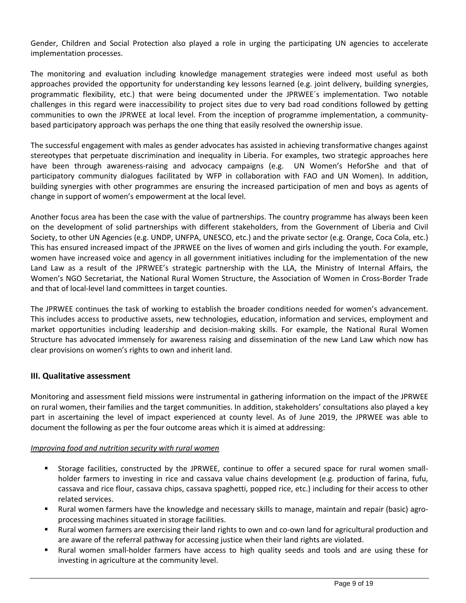Gender, Children and Social Protection also played a role in urging the participating UN agencies to accelerate implementation processes.

The monitoring and evaluation including knowledge management strategies were indeed most useful as both approaches provided the opportunity for understanding key lessons learned (e.g. joint delivery, building synergies, programmatic flexibility, etc.) that were being documented under the JPRWEE´s implementation. Two notable challenges in this regard were inaccessibility to project sites due to very bad road conditions followed by getting communities to own the JPRWEE at local level. From the inception of programme implementation, a communitybased participatory approach was perhaps the one thing that easily resolved the ownership issue.

The successful engagement with males as gender advocates has assisted in achieving transformative changes against stereotypes that perpetuate discrimination and inequality in Liberia. For examples, two strategic approaches here have been through awareness-raising and advocacy campaigns (e.g. UN Women's HeforShe and that of participatory community dialogues facilitated by WFP in collaboration with FAO and UN Women). In addition, building synergies with other programmes are ensuring the increased participation of men and boys as agents of change in support of women's empowerment at the local level.

Another focus area has been the case with the value of partnerships. The country programme has always been keen on the development of solid partnerships with different stakeholders, from the Government of Liberia and Civil Society, to other UN Agencies (e.g. UNDP, UNFPA, UNESCO, etc.) and the private sector (e.g. Orange, Coca Cola, etc.) This has ensured increased impact of the JPRWEE on the lives of women and girls including the youth. For example, women have increased voice and agency in all government initiatives including for the implementation of the new Land Law as a result of the JPRWEE's strategic partnership with the LLA, the Ministry of Internal Affairs, the Women's NGO Secretariat, the National Rural Women Structure, the Association of Women in Cross-Border Trade and that of local-level land committees in target counties.

The JPRWEE continues the task of working to establish the broader conditions needed for women's advancement. This includes access to productive assets, new technologies, education, information and services, employment and market opportunities including leadership and decision-making skills. For example, the National Rural Women Structure has advocated immensely for awareness raising and dissemination of the new Land Law which now has clear provisions on women's rights to own and inherit land.

## **III. Qualitative assessment**

Monitoring and assessment field missions were instrumental in gathering information on the impact of the JPRWEE on rural women, their families and the target communities. In addition, stakeholders' consultations also played a key part in ascertaining the level of impact experienced at county level. As of June 2019, the JPRWEE was able to document the following as per the four outcome areas which it is aimed at addressing:

## *Improving food and nutrition security with rural women*

- Storage facilities, constructed by the JPRWEE, continue to offer a secured space for rural women smallholder farmers to investing in rice and cassava value chains development (e.g. production of farina, fufu, cassava and rice flour, cassava chips, cassava spaghetti, popped rice, etc.) including for their access to other related services.
- Rural women farmers have the knowledge and necessary skills to manage, maintain and repair (basic) agroprocessing machines situated in storage facilities.
- Rural women farmers are exercising their land rights to own and co-own land for agricultural production and are aware of the referral pathway for accessing justice when their land rights are violated.
- Rural women small-holder farmers have access to high quality seeds and tools and are using these for investing in agriculture at the community level.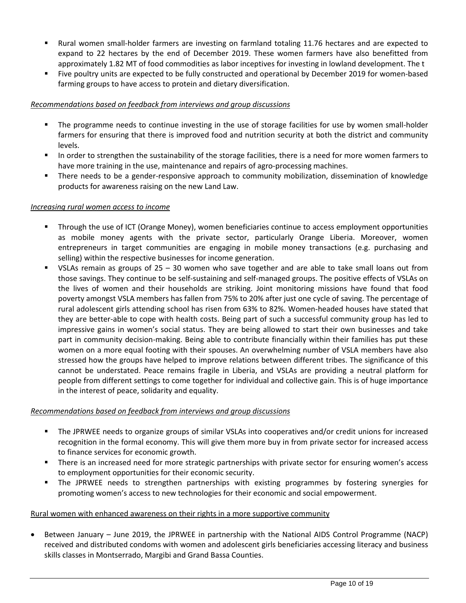- Rural women small-holder farmers are investing on farmland totaling 11.76 hectares and are expected to expand to 22 hectares by the end of December 2019. These women farmers have also benefitted from approximately 1.82 MT of food commodities as labor inceptives for investing in lowland development. The t
- Five poultry units are expected to be fully constructed and operational by December 2019 for women-based farming groups to have access to protein and dietary diversification.

## *Recommendations based on feedback from interviews and group discussions*

- The programme needs to continue investing in the use of storage facilities for use by women small-holder farmers for ensuring that there is improved food and nutrition security at both the district and community levels.
- In order to strengthen the sustainability of the storage facilities, there is a need for more women farmers to have more training in the use, maintenance and repairs of agro-processing machines.
- **EXT** There needs to be a gender-responsive approach to community mobilization, dissemination of knowledge products for awareness raising on the new Land Law.

### *Increasing rural women access to income*

- Through the use of ICT (Orange Money), women beneficiaries continue to access employment opportunities as mobile money agents with the private sector, particularly Orange Liberia. Moreover, women entrepreneurs in target communities are engaging in mobile money transactions (e.g. purchasing and selling) within the respective businesses for income generation.
- VSLAs remain as groups of 25 30 women who save together and are able to take small loans out from those savings. They continue to be self-sustaining and self-managed groups. The positive effects of VSLAs on the lives of women and their households are striking. Joint monitoring missions have found that food poverty amongst VSLA members has fallen from 75% to 20% after just one cycle of saving. The percentage of rural adolescent girls attending school has risen from 63% to 82%. Women-headed houses have stated that they are better-able to cope with health costs. Being part of such a successful community group has led to impressive gains in women's social status. They are being allowed to start their own businesses and take part in community decision-making. Being able to contribute financially within their families has put these women on a more equal footing with their spouses. An overwhelming number of VSLA members have also stressed how the groups have helped to improve relations between different tribes. The significance of this cannot be understated. Peace remains fragile in Liberia, and VSLAs are providing a neutral platform for people from different settings to come together for individual and collective gain. This is of huge importance in the interest of peace, solidarity and equality.

### *Recommendations based on feedback from interviews and group discussions*

- The JPRWEE needs to organize groups of similar VSLAs into cooperatives and/or credit unions for increased recognition in the formal economy. This will give them more buy in from private sector for increased access to finance services for economic growth.
- There is an increased need for more strategic partnerships with private sector for ensuring women's access to employment opportunities for their economic security.
- The JPRWEE needs to strengthen partnerships with existing programmes by fostering synergies for promoting women's access to new technologies for their economic and social empowerment.

### Rural women with enhanced awareness on their rights in a more supportive community

• Between January – June 2019, the JPRWEE in partnership with the National AIDS Control Programme (NACP) received and distributed condoms with women and adolescent girls beneficiaries accessing literacy and business skills classes in Montserrado, Margibi and Grand Bassa Counties.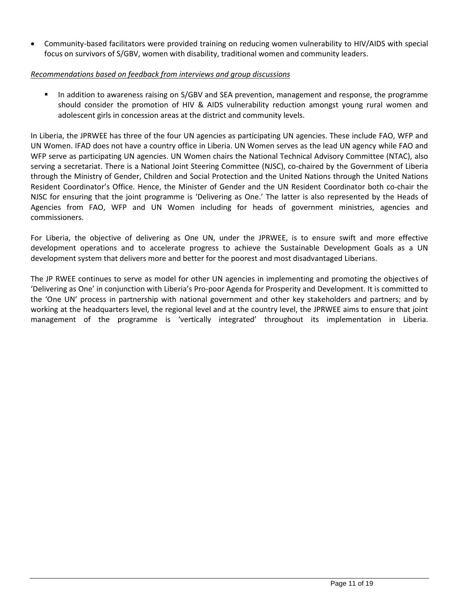• Community-based facilitators were provided training on reducing women vulnerability to HIV/AIDS with special focus on survivors of S/GBV, women with disability, traditional women and community leaders.

## *Recommendations based on feedback from interviews and group discussions*

■ In addition to awareness raising on S/GBV and SEA prevention, management and response, the programme should consider the promotion of HIV & AIDS vulnerability reduction amongst young rural women and adolescent girls in concession areas at the district and community levels.

In Liberia, the JPRWEE has three of the four UN agencies as participating UN agencies. These include FAO, WFP and UN Women. IFAD does not have a country office in Liberia. UN Women serves as the lead UN agency while FAO and WFP serve as participating UN agencies. UN Women chairs the National Technical Advisory Committee (NTAC), also serving a secretariat. There is a National Joint Steering Committee (NJSC), co-chaired by the Government of Liberia through the Ministry of Gender, Children and Social Protection and the United Nations through the United Nations Resident Coordinator's Office. Hence, the Minister of Gender and the UN Resident Coordinator both co-chair the NJSC for ensuring that the joint programme is 'Delivering as One.' The latter is also represented by the Heads of Agencies from FAO, WFP and UN Women including for heads of government ministries, agencies and commissioners.

For Liberia, the objective of delivering as One UN, under the JPRWEE, is to ensure swift and more effective development operations and to accelerate progress to achieve the Sustainable Development Goals as a UN development system that delivers more and better for the poorest and most disadvantaged Liberians.

The JP RWEE continues to serve as model for other UN agencies in implementing and promoting the objectives of 'Delivering as One' in conjunction with Liberia's Pro-poor Agenda for Prosperity and Development. It is committed to the 'One UN' process in partnership with national government and other key stakeholders and partners; and by working at the headquarters level, the regional level and at the country level, the JPRWEE aims to ensure that joint management of the programme is 'vertically integrated' throughout its implementation in Liberia.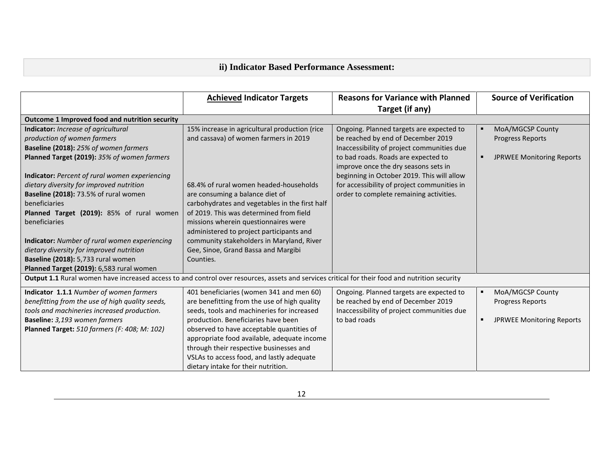# **ii) Indicator Based Performance Assessment:**

|                                                                                                                                                | <b>Achieved Indicator Targets</b>              | <b>Reasons for Variance with Planned</b>    | <b>Source of Verification</b>         |
|------------------------------------------------------------------------------------------------------------------------------------------------|------------------------------------------------|---------------------------------------------|---------------------------------------|
|                                                                                                                                                |                                                | Target (if any)                             |                                       |
| Outcome 1 Improved food and nutrition security                                                                                                 |                                                |                                             |                                       |
| <b>Indicator:</b> Increase of agricultural                                                                                                     | 15% increase in agricultural production (rice  | Ongoing. Planned targets are expected to    | MoA/MGCSP County                      |
| production of women farmers                                                                                                                    | and cassava) of women farmers in 2019          | be reached by end of December 2019          | <b>Progress Reports</b>               |
| Baseline (2018): 25% of women farmers                                                                                                          |                                                | Inaccessibility of project communities due  |                                       |
| Planned Target (2019): 35% of women farmers                                                                                                    |                                                | to bad roads. Roads are expected to         | <b>JPRWEE Monitoring Reports</b><br>п |
|                                                                                                                                                |                                                | improve once the dry seasons sets in        |                                       |
| <b>Indicator:</b> Percent of rural women experiencing                                                                                          |                                                | beginning in October 2019. This will allow  |                                       |
| dietary diversity for improved nutrition                                                                                                       | 68.4% of rural women headed-households         | for accessibility of project communities in |                                       |
| Baseline (2018): 73.5% of rural women                                                                                                          | are consuming a balance diet of                | order to complete remaining activities.     |                                       |
| beneficiaries                                                                                                                                  | carbohydrates and vegetables in the first half |                                             |                                       |
| Planned Target (2019): 85% of rural women                                                                                                      | of 2019. This was determined from field        |                                             |                                       |
| beneficiaries                                                                                                                                  | missions wherein questionnaires were           |                                             |                                       |
|                                                                                                                                                | administered to project participants and       |                                             |                                       |
| Indicator: Number of rural women experiencing                                                                                                  | community stakeholders in Maryland, River      |                                             |                                       |
| dietary diversity for improved nutrition                                                                                                       | Gee, Sinoe, Grand Bassa and Margibi            |                                             |                                       |
| Baseline (2018): 5,733 rural women                                                                                                             | Counties.                                      |                                             |                                       |
| Planned Target (2019): 6,583 rural women                                                                                                       |                                                |                                             |                                       |
| Output 1.1 Rural women have increased access to and control over resources, assets and services critical for their food and nutrition security |                                                |                                             |                                       |
| Indicator 1.1.1 Number of women farmers                                                                                                        | 401 beneficiaries (women 341 and men 60)       | Ongoing. Planned targets are expected to    | MoA/MGCSP County                      |
| benefitting from the use of high quality seeds,                                                                                                | are benefitting from the use of high quality   | be reached by end of December 2019          | <b>Progress Reports</b>               |
| tools and machineries increased production.                                                                                                    | seeds, tools and machineries for increased     | Inaccessibility of project communities due  |                                       |
| Baseline: 3,193 women farmers                                                                                                                  | production. Beneficiaries have been            | to bad roads                                | <b>JPRWEE Monitoring Reports</b><br>п |
| Planned Target: 510 farmers (F: 408; M: 102)                                                                                                   | observed to have acceptable quantities of      |                                             |                                       |
|                                                                                                                                                | appropriate food available, adequate income    |                                             |                                       |
|                                                                                                                                                | through their respective businesses and        |                                             |                                       |
|                                                                                                                                                | VSLAs to access food, and lastly adequate      |                                             |                                       |
|                                                                                                                                                | dietary intake for their nutrition.            |                                             |                                       |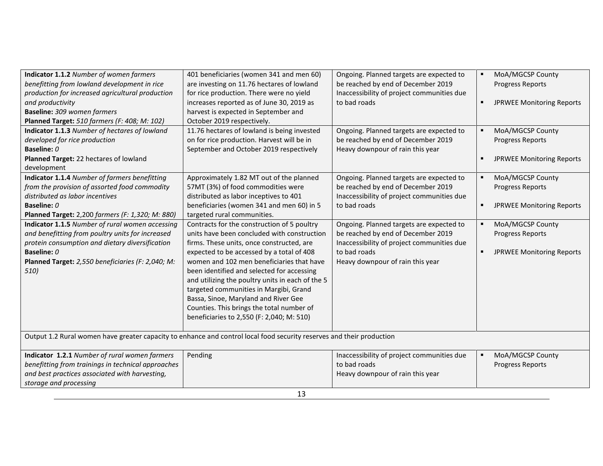| Indicator 1.1.2 Number of women farmers                                                                               | 401 beneficiaries (women 341 and men 60)         | Ongoing. Planned targets are expected to   | $\blacksquare$ | MoA/MGCSP County                 |
|-----------------------------------------------------------------------------------------------------------------------|--------------------------------------------------|--------------------------------------------|----------------|----------------------------------|
| benefitting from lowland development in rice                                                                          | are investing on 11.76 hectares of lowland       | be reached by end of December 2019         |                | <b>Progress Reports</b>          |
| production for increased agricultural production                                                                      | for rice production. There were no yield         | Inaccessibility of project communities due |                |                                  |
| and productivity                                                                                                      | increases reported as of June 30, 2019 as        | to bad roads                               | $\blacksquare$ | <b>JPRWEE Monitoring Reports</b> |
| Baseline: 309 women farmers                                                                                           | harvest is expected in September and             |                                            |                |                                  |
| Planned Target: 510 farmers (F: 408; M: 102)                                                                          | October 2019 respectively.                       |                                            |                |                                  |
| Indicator 1.1.3 Number of hectares of lowland                                                                         | 11.76 hectares of lowland is being invested      | Ongoing. Planned targets are expected to   | п              | MoA/MGCSP County                 |
| developed for rice production                                                                                         | on for rice production. Harvest will be in       | be reached by end of December 2019         |                | <b>Progress Reports</b>          |
| Baseline: 0                                                                                                           | September and October 2019 respectively          | Heavy downpour of rain this year           |                |                                  |
| Planned Target: 22 hectares of lowland                                                                                |                                                  |                                            | $\blacksquare$ | <b>JPRWEE Monitoring Reports</b> |
| development                                                                                                           |                                                  |                                            |                |                                  |
| Indicator 1.1.4 Number of farmers benefitting                                                                         | Approximately 1.82 MT out of the planned         | Ongoing. Planned targets are expected to   | $\blacksquare$ | MoA/MGCSP County                 |
| from the provision of assorted food commodity                                                                         | 57MT (3%) of food commodities were               | be reached by end of December 2019         |                | <b>Progress Reports</b>          |
| distributed as labor incentives                                                                                       | distributed as labor inceptives to 401           | Inaccessibility of project communities due |                |                                  |
| Baseline: 0                                                                                                           | beneficiaries (women 341 and men 60) in 5        | to bad roads                               | $\blacksquare$ | <b>JPRWEE Monitoring Reports</b> |
| Planned Target: 2,200 farmers (F: 1,320; M: 880)                                                                      | targeted rural communities.                      |                                            |                |                                  |
| Indicator 1.1.5 Number of rural women accessing                                                                       | Contracts for the construction of 5 poultry      | Ongoing. Planned targets are expected to   | $\blacksquare$ | MoA/MGCSP County                 |
| and benefitting from poultry units for increased                                                                      | units have been concluded with construction      | be reached by end of December 2019         |                | <b>Progress Reports</b>          |
| protein consumption and dietary diversification                                                                       | firms. These units, once constructed, are        | Inaccessibility of project communities due |                |                                  |
| Baseline: 0                                                                                                           | expected to be accessed by a total of 408        | to bad roads                               | $\blacksquare$ | <b>JPRWEE Monitoring Reports</b> |
| Planned Target: 2,550 beneficiaries (F: 2,040; M:                                                                     | women and 102 men beneficiaries that have        | Heavy downpour of rain this year           |                |                                  |
| 510)                                                                                                                  | been identified and selected for accessing       |                                            |                |                                  |
|                                                                                                                       | and utilizing the poultry units in each of the 5 |                                            |                |                                  |
|                                                                                                                       | targeted communities in Margibi, Grand           |                                            |                |                                  |
|                                                                                                                       | Bassa, Sinoe, Maryland and River Gee             |                                            |                |                                  |
|                                                                                                                       | Counties. This brings the total number of        |                                            |                |                                  |
|                                                                                                                       | beneficiaries to 2,550 (F: 2,040; M: 510)        |                                            |                |                                  |
|                                                                                                                       |                                                  |                                            |                |                                  |
| Output 1.2 Rural women have greater capacity to enhance and control local food security reserves and their production |                                                  |                                            |                |                                  |
|                                                                                                                       |                                                  |                                            |                |                                  |
| Indicator 1.2.1 Number of rural women farmers                                                                         | Pending                                          | Inaccessibility of project communities due | $\blacksquare$ | MoA/MGCSP County                 |
| benefitting from trainings in technical approaches                                                                    |                                                  | to bad roads                               |                | <b>Progress Reports</b>          |
| and best practices associated with harvesting,                                                                        |                                                  | Heavy downpour of rain this year           |                |                                  |
| storage and processing                                                                                                |                                                  |                                            |                |                                  |
| 13                                                                                                                    |                                                  |                                            |                |                                  |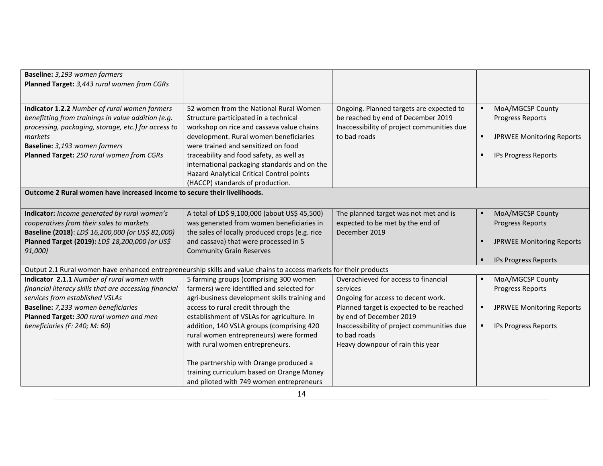| Baseline: 3,193 women farmers                                                                                      |                                                |                                            |   |                                  |
|--------------------------------------------------------------------------------------------------------------------|------------------------------------------------|--------------------------------------------|---|----------------------------------|
| Planned Target: 3,443 rural women from CGRs                                                                        |                                                |                                            |   |                                  |
|                                                                                                                    |                                                |                                            |   |                                  |
| Indicator 1.2.2 Number of rural women farmers                                                                      | 52 women from the National Rural Women         | Ongoing. Planned targets are expected to   |   | MoA/MGCSP County                 |
| benefitting from trainings in value addition (e.g.                                                                 | Structure participated in a technical          | be reached by end of December 2019         |   | <b>Progress Reports</b>          |
| processing, packaging, storage, etc.) for access to                                                                | workshop on rice and cassava value chains      | Inaccessibility of project communities due |   |                                  |
| markets                                                                                                            | development. Rural women beneficiaries         | to bad roads                               | ٠ | <b>JPRWEE Monitoring Reports</b> |
| Baseline: 3,193 women farmers                                                                                      | were trained and sensitized on food            |                                            |   |                                  |
| Planned Target: 250 rural women from CGRs                                                                          | traceability and food safety, as well as       |                                            |   | IPs Progress Reports             |
|                                                                                                                    | international packaging standards and on the   |                                            |   |                                  |
|                                                                                                                    | Hazard Analytical Critical Control points      |                                            |   |                                  |
|                                                                                                                    | (HACCP) standards of production.               |                                            |   |                                  |
| Outcome 2 Rural women have increased income to secure their livelihoods.                                           |                                                |                                            |   |                                  |
|                                                                                                                    |                                                |                                            |   |                                  |
| Indicator: Income generated by rural women's                                                                       | A total of LD\$ 9,100,000 (about US\$ 45,500)  | The planned target was not met and is      |   | MoA/MGCSP County                 |
| cooperatives from their sales to markets                                                                           | was generated from women beneficiaries in      | expected to be met by the end of           |   | <b>Progress Reports</b>          |
| Baseline (2018): LD\$ 16,200,000 (or US\$ 81,000)                                                                  | the sales of locally produced crops (e.g. rice | December 2019                              |   |                                  |
| Planned Target (2019): LD\$ 18,200,000 (or US\$                                                                    | and cassava) that were processed in 5          |                                            |   | <b>JPRWEE Monitoring Reports</b> |
| 91,000)                                                                                                            | <b>Community Grain Reserves</b>                |                                            |   |                                  |
|                                                                                                                    |                                                |                                            | п | IPs Progress Reports             |
| Output 2.1 Rural women have enhanced entrepreneurship skills and value chains to access markets for their products |                                                |                                            |   |                                  |
| Indicator 2.1.1 Number of rural women with                                                                         | 5 farming groups (comprising 300 women         | Overachieved for access to financial       |   | MoA/MGCSP County                 |
| financial literacy skills that are accessing financial                                                             | farmers) were identified and selected for      | services                                   |   | <b>Progress Reports</b>          |
| services from established VSLAs                                                                                    | agri-business development skills training and  | Ongoing for access to decent work.         |   |                                  |
| Baseline: 7,233 women beneficiaries                                                                                | access to rural credit through the             | Planned target is expected to be reached   |   | <b>JPRWEE Monitoring Reports</b> |
| Planned Target: 300 rural women and men                                                                            | establishment of VSLAs for agriculture. In     | by end of December 2019                    |   |                                  |
| beneficiaries (F: 240; M: 60)                                                                                      | addition, 140 VSLA groups (comprising 420      | Inaccessibility of project communities due |   | <b>IPs Progress Reports</b>      |
|                                                                                                                    | rural women entrepreneurs) were formed         | to bad roads                               |   |                                  |
|                                                                                                                    | with rural women entrepreneurs.                | Heavy downpour of rain this year           |   |                                  |
|                                                                                                                    | The partnership with Orange produced a         |                                            |   |                                  |
|                                                                                                                    | training curriculum based on Orange Money      |                                            |   |                                  |
|                                                                                                                    | and piloted with 749 women entrepreneurs       |                                            |   |                                  |
|                                                                                                                    |                                                |                                            |   |                                  |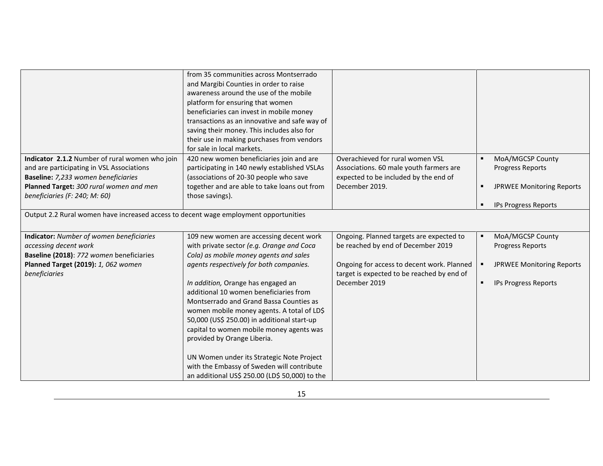|                                                                                      | from 35 communities across Montserrado         |                                            |   |                                  |
|--------------------------------------------------------------------------------------|------------------------------------------------|--------------------------------------------|---|----------------------------------|
|                                                                                      | and Margibi Counties in order to raise         |                                            |   |                                  |
|                                                                                      | awareness around the use of the mobile         |                                            |   |                                  |
|                                                                                      | platform for ensuring that women               |                                            |   |                                  |
|                                                                                      | beneficiaries can invest in mobile money       |                                            |   |                                  |
|                                                                                      | transactions as an innovative and safe way of  |                                            |   |                                  |
|                                                                                      | saving their money. This includes also for     |                                            |   |                                  |
|                                                                                      | their use in making purchases from vendors     |                                            |   |                                  |
|                                                                                      | for sale in local markets.                     |                                            |   |                                  |
| Indicator 2.1.2 Number of rural women who join                                       | 420 new women beneficiaries join and are       | Overachieved for rural women VSL           |   | MoA/MGCSP County                 |
| and are participating in VSL Associations                                            | participating in 140 newly established VSLAs   | Associations. 60 male youth farmers are    |   | <b>Progress Reports</b>          |
| Baseline: 7,233 women beneficiaries                                                  | (associations of 20-30 people who save         | expected to be included by the end of      |   |                                  |
| Planned Target: 300 rural women and men                                              | together and are able to take loans out from   | December 2019.                             | ٠ | <b>JPRWEE Monitoring Reports</b> |
| beneficiaries (F: 240; M: 60)                                                        | those savings).                                |                                            |   |                                  |
|                                                                                      |                                                |                                            | ٠ | IPs Progress Reports             |
| Output 2.2 Rural women have increased access to decent wage employment opportunities |                                                |                                            |   |                                  |
|                                                                                      |                                                |                                            |   |                                  |
| <b>Indicator:</b> Number of women beneficiaries                                      | 109 new women are accessing decent work        | Ongoing. Planned targets are expected to   |   | MoA/MGCSP County                 |
| accessing decent work                                                                | with private sector (e.g. Orange and Coca      | be reached by end of December 2019         |   | <b>Progress Reports</b>          |
| Baseline (2018): 772 women beneficiaries                                             | Cola) as mobile money agents and sales         |                                            |   |                                  |
| Planned Target (2019): 1, 062 women                                                  | agents respectively for both companies.        | Ongoing for access to decent work. Planned |   | <b>JPRWEE Monitoring Reports</b> |
| beneficiaries                                                                        |                                                | target is expected to be reached by end of |   |                                  |
|                                                                                      | In addition, Orange has engaged an             | December 2019                              | ٠ | IPs Progress Reports             |
|                                                                                      | additional 10 women beneficiaries from         |                                            |   |                                  |
|                                                                                      | Montserrado and Grand Bassa Counties as        |                                            |   |                                  |
|                                                                                      | women mobile money agents. A total of LD\$     |                                            |   |                                  |
|                                                                                      | 50,000 (US\$ 250.00) in additional start-up    |                                            |   |                                  |
|                                                                                      | capital to women mobile money agents was       |                                            |   |                                  |
|                                                                                      | provided by Orange Liberia.                    |                                            |   |                                  |
|                                                                                      |                                                |                                            |   |                                  |
|                                                                                      | UN Women under its Strategic Note Project      |                                            |   |                                  |
|                                                                                      | with the Embassy of Sweden will contribute     |                                            |   |                                  |
|                                                                                      | an additional US\$ 250.00 (LD\$ 50,000) to the |                                            |   |                                  |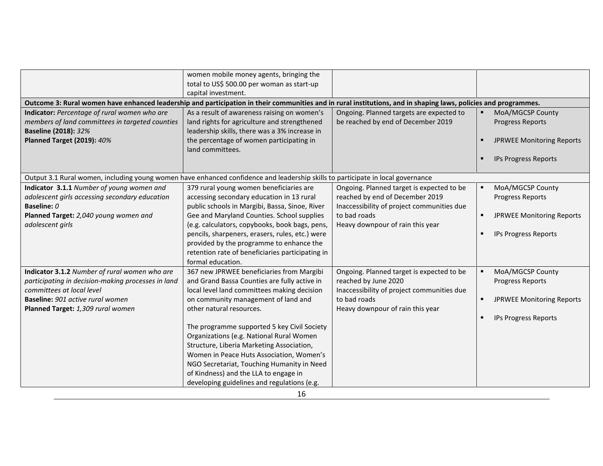|                                                                                                                                                                                                           | women mobile money agents, bringing the<br>total to US\$ 500.00 per woman as start-up<br>capital investment.                                                                                                                                                                                                                                                                                                                                                                                                                                |                                                                                                                                                                     |                                                                                                                                  |
|-----------------------------------------------------------------------------------------------------------------------------------------------------------------------------------------------------------|---------------------------------------------------------------------------------------------------------------------------------------------------------------------------------------------------------------------------------------------------------------------------------------------------------------------------------------------------------------------------------------------------------------------------------------------------------------------------------------------------------------------------------------------|---------------------------------------------------------------------------------------------------------------------------------------------------------------------|----------------------------------------------------------------------------------------------------------------------------------|
| Outcome 3: Rural women have enhanced leadership and participation in their communities and in rural institutions, and in shaping laws, policies and programmes.                                           |                                                                                                                                                                                                                                                                                                                                                                                                                                                                                                                                             |                                                                                                                                                                     |                                                                                                                                  |
| Indicator: Percentage of rural women who are<br>members of land committees in targeted counties<br><b>Baseline (2018): 32%</b><br><b>Planned Target (2019): 40%</b>                                       | As a result of awareness raising on women's<br>land rights for agriculture and strengthened<br>leadership skills, there was a 3% increase in<br>the percentage of women participating in<br>land committees.                                                                                                                                                                                                                                                                                                                                | Ongoing. Planned targets are expected to<br>be reached by end of December 2019                                                                                      | MoA/MGCSP County<br><b>Progress Reports</b><br><b>JPRWEE Monitoring Reports</b><br>$\blacksquare$<br><b>IPs Progress Reports</b> |
| Output 3.1 Rural women, including young women have enhanced confidence and leadership skills to participate in local governance                                                                           |                                                                                                                                                                                                                                                                                                                                                                                                                                                                                                                                             |                                                                                                                                                                     |                                                                                                                                  |
| Indicator 3.1.1 Number of young women and<br>adolescent girls accessing secondary education<br>Baseline: 0<br>Planned Target: 2,040 young women and                                                       | 379 rural young women beneficiaries are<br>accessing secondary education in 13 rural<br>public schools in Margibi, Bassa, Sinoe, River<br>Gee and Maryland Counties. School supplies                                                                                                                                                                                                                                                                                                                                                        | Ongoing. Planned target is expected to be<br>reached by end of December 2019<br>Inaccessibility of project communities due<br>to bad roads                          | MoA/MGCSP County<br><b>Progress Reports</b><br><b>JPRWEE Monitoring Reports</b><br>$\blacksquare$                                |
| adolescent girls                                                                                                                                                                                          | (e.g. calculators, copybooks, book bags, pens,<br>pencils, sharpeners, erasers, rules, etc.) were<br>provided by the programme to enhance the<br>retention rate of beneficiaries participating in<br>formal education.                                                                                                                                                                                                                                                                                                                      | Heavy downpour of rain this year                                                                                                                                    | IPs Progress Reports                                                                                                             |
| Indicator 3.1.2 Number of rural women who are<br>participating in decision-making processes in land<br>committees at local level<br>Baseline: 901 active rural women<br>Planned Target: 1,309 rural women | 367 new JPRWEE beneficiaries from Margibi<br>and Grand Bassa Counties are fully active in<br>local level land committees making decision<br>on community management of land and<br>other natural resources.<br>The programme supported 5 key Civil Society<br>Organizations (e.g. National Rural Women<br>Structure, Liberia Marketing Association,<br>Women in Peace Huts Association, Women's<br>NGO Secretariat, Touching Humanity in Need<br>of Kindness) and the LLA to engage in<br>developing guidelines and regulations (e.g.<br>16 | Ongoing. Planned target is expected to be<br>reached by June 2020<br>Inaccessibility of project communities due<br>to bad roads<br>Heavy downpour of rain this year | MoA/MGCSP County<br><b>Progress Reports</b><br><b>JPRWEE Monitoring Reports</b><br>$\blacksquare$<br>IPs Progress Reports        |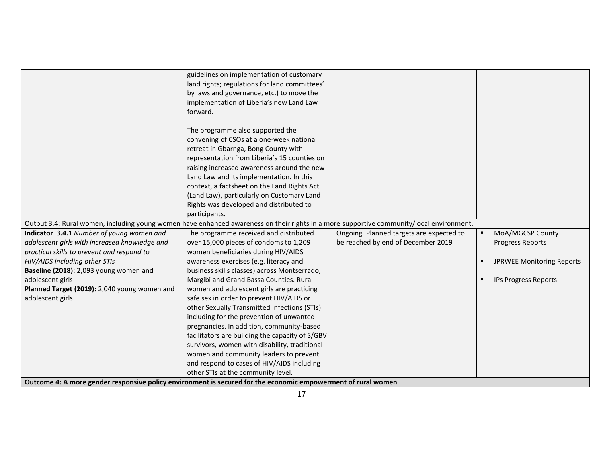| Output 3.4: Rural women, including young women have enhanced awareness on their rights in a more supportive community/local environment.<br>Indicator 3.4.1 Number of young women and<br>adolescent girls with increased knowledge and<br>practical skills to prevent and respond to<br>HIV/AIDS including other STIs<br>Baseline (2018): 2,093 young women and<br>adolescent girls<br>Planned Target (2019): 2,040 young women and<br>adolescent girls | guidelines on implementation of customary<br>land rights; regulations for land committees'<br>by laws and governance, etc.) to move the<br>implementation of Liberia's new Land Law<br>forward.<br>The programme also supported the<br>convening of CSOs at a one-week national<br>retreat in Gbarnga, Bong County with<br>representation from Liberia's 15 counties on<br>raising increased awareness around the new<br>Land Law and its implementation. In this<br>context, a factsheet on the Land Rights Act<br>(Land Law), particularly on Customary Land<br>Rights was developed and distributed to<br>participants.<br>The programme received and distributed<br>over 15,000 pieces of condoms to 1,209<br>women beneficiaries during HIV/AIDS<br>awareness exercises (e.g. literacy and<br>business skills classes) across Montserrado,<br>Margibi and Grand Bassa Counties. Rural<br>women and adolescent girls are practicing<br>safe sex in order to prevent HIV/AIDS or<br>other Sexually Transmitted Infections (STIs)<br>including for the prevention of unwanted<br>pregnancies. In addition, community-based<br>facilitators are building the capacity of S/GBV | Ongoing. Planned targets are expected to<br>be reached by end of December 2019 | MoA/MGCSP County<br><b>Progress Reports</b><br><b>JPRWEE Monitoring Reports</b><br>IPs Progress Reports |
|---------------------------------------------------------------------------------------------------------------------------------------------------------------------------------------------------------------------------------------------------------------------------------------------------------------------------------------------------------------------------------------------------------------------------------------------------------|---------------------------------------------------------------------------------------------------------------------------------------------------------------------------------------------------------------------------------------------------------------------------------------------------------------------------------------------------------------------------------------------------------------------------------------------------------------------------------------------------------------------------------------------------------------------------------------------------------------------------------------------------------------------------------------------------------------------------------------------------------------------------------------------------------------------------------------------------------------------------------------------------------------------------------------------------------------------------------------------------------------------------------------------------------------------------------------------------------------------------------------------------------------------------------|--------------------------------------------------------------------------------|---------------------------------------------------------------------------------------------------------|
|                                                                                                                                                                                                                                                                                                                                                                                                                                                         |                                                                                                                                                                                                                                                                                                                                                                                                                                                                                                                                                                                                                                                                                                                                                                                                                                                                                                                                                                                                                                                                                                                                                                                 |                                                                                |                                                                                                         |
|                                                                                                                                                                                                                                                                                                                                                                                                                                                         |                                                                                                                                                                                                                                                                                                                                                                                                                                                                                                                                                                                                                                                                                                                                                                                                                                                                                                                                                                                                                                                                                                                                                                                 |                                                                                |                                                                                                         |
|                                                                                                                                                                                                                                                                                                                                                                                                                                                         | survivors, women with disability, traditional                                                                                                                                                                                                                                                                                                                                                                                                                                                                                                                                                                                                                                                                                                                                                                                                                                                                                                                                                                                                                                                                                                                                   |                                                                                |                                                                                                         |
|                                                                                                                                                                                                                                                                                                                                                                                                                                                         | women and community leaders to prevent                                                                                                                                                                                                                                                                                                                                                                                                                                                                                                                                                                                                                                                                                                                                                                                                                                                                                                                                                                                                                                                                                                                                          |                                                                                |                                                                                                         |
|                                                                                                                                                                                                                                                                                                                                                                                                                                                         | and respond to cases of HIV/AIDS including                                                                                                                                                                                                                                                                                                                                                                                                                                                                                                                                                                                                                                                                                                                                                                                                                                                                                                                                                                                                                                                                                                                                      |                                                                                |                                                                                                         |
|                                                                                                                                                                                                                                                                                                                                                                                                                                                         | other STIs at the community level.                                                                                                                                                                                                                                                                                                                                                                                                                                                                                                                                                                                                                                                                                                                                                                                                                                                                                                                                                                                                                                                                                                                                              |                                                                                |                                                                                                         |
| Outcome 4: A more gender responsive policy environment is secured for the economic empowerment of rural women                                                                                                                                                                                                                                                                                                                                           |                                                                                                                                                                                                                                                                                                                                                                                                                                                                                                                                                                                                                                                                                                                                                                                                                                                                                                                                                                                                                                                                                                                                                                                 |                                                                                |                                                                                                         |
| 17                                                                                                                                                                                                                                                                                                                                                                                                                                                      |                                                                                                                                                                                                                                                                                                                                                                                                                                                                                                                                                                                                                                                                                                                                                                                                                                                                                                                                                                                                                                                                                                                                                                                 |                                                                                |                                                                                                         |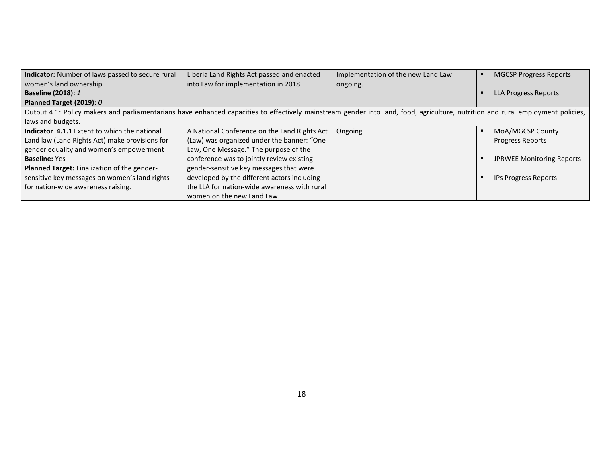| Indicator: Number of laws passed to secure rural                                                                                                                                | Liberia Land Rights Act passed and enacted   | Implementation of the new Land Law | <b>MGCSP Progress Reports</b>    |
|---------------------------------------------------------------------------------------------------------------------------------------------------------------------------------|----------------------------------------------|------------------------------------|----------------------------------|
| women's land ownership                                                                                                                                                          | into Law for implementation in 2018          | ongoing.                           |                                  |
| <b>Baseline (2018): 1</b>                                                                                                                                                       |                                              |                                    | LLA Progress Reports             |
| Planned Target (2019): 0                                                                                                                                                        |                                              |                                    |                                  |
| Output 4.1: Policy makers and parliamentarians have enhanced capacities to effectively mainstream gender into land, food, agriculture, nutrition and rural employment policies, |                                              |                                    |                                  |
| laws and budgets.                                                                                                                                                               |                                              |                                    |                                  |
| <b>Indicator 4.1.1</b> Extent to which the national                                                                                                                             | A National Conference on the Land Rights Act | Ongoing                            | MoA/MGCSP County                 |
| Land law (Land Rights Act) make provisions for                                                                                                                                  | (Law) was organized under the banner: "One   |                                    | Progress Reports                 |
| gender equality and women's empowerment                                                                                                                                         | Law, One Message." The purpose of the        |                                    |                                  |
| <b>Baseline: Yes</b>                                                                                                                                                            | conference was to jointly review existing    |                                    | <b>JPRWEE Monitoring Reports</b> |
| Planned Target: Finalization of the gender-                                                                                                                                     | gender-sensitive key messages that were      |                                    |                                  |
| sensitive key messages on women's land rights                                                                                                                                   | developed by the different actors including  |                                    | <b>IPs Progress Reports</b>      |
| for nation-wide awareness raising.                                                                                                                                              | the LLA for nation-wide awareness with rural |                                    |                                  |
|                                                                                                                                                                                 | women on the new Land Law.                   |                                    |                                  |